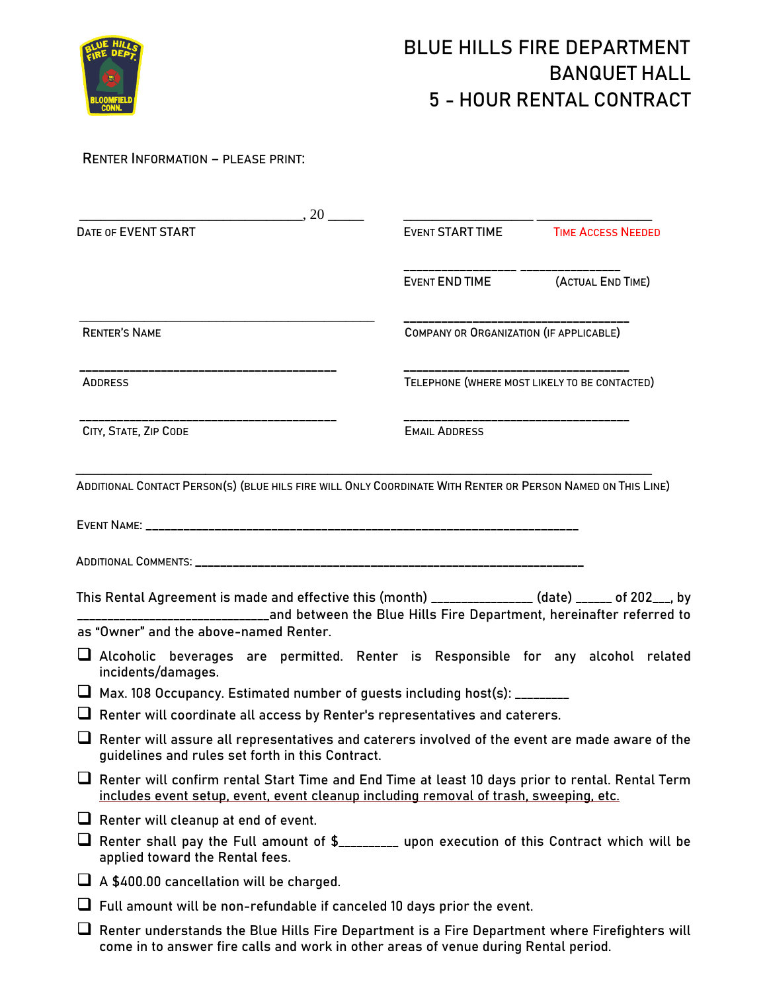

## **RENTER INFORMATION – PLEASE PRINT:**

| $\sim$ 20                                                                                                                                                                                 |                                                                               |                                               |  |  |
|-------------------------------------------------------------------------------------------------------------------------------------------------------------------------------------------|-------------------------------------------------------------------------------|-----------------------------------------------|--|--|
| DATE OF EVENT START                                                                                                                                                                       |                                                                               | EVENT START TIME <b>TIME ACCESS NEEDED</b>    |  |  |
|                                                                                                                                                                                           | EVENT END TIME                                                                | (ACTUAL END TIME)                             |  |  |
| <b>RENTER'S NAME</b>                                                                                                                                                                      |                                                                               | COMPANY OR ORGANIZATION (IF APPLICABLE)       |  |  |
| ___________________________<br><b>ADDRESS</b>                                                                                                                                             |                                                                               | TELEPHONE (WHERE MOST LIKELY TO BE CONTACTED) |  |  |
| CITY, STATE, ZIP CODE                                                                                                                                                                     | <b>EMAIL ADDRESS</b>                                                          | _______________________                       |  |  |
| ADDITIONAL CONTACT PERSON(S) (BLUE HILS FIRE WILL ONLY COORDINATE WITH RENTER OR PERSON NAMED ON THIS LINE)                                                                               |                                                                               |                                               |  |  |
|                                                                                                                                                                                           |                                                                               |                                               |  |  |
|                                                                                                                                                                                           |                                                                               |                                               |  |  |
|                                                                                                                                                                                           |                                                                               |                                               |  |  |
| This Rental Agreement is made and effective this (month) _______________ (date) _____ of 202___, by                                                                                       | __________and between the Blue Hills Fire Department, hereinafter referred to |                                               |  |  |
| as "Owner" and the above-named Renter.                                                                                                                                                    |                                                                               |                                               |  |  |
| $\Box$ Alcoholic beverages are permitted. Renter is Responsible for any alcohol related<br>incidents/damages.                                                                             |                                                                               |                                               |  |  |
| □ Max. 108 Occupancy. Estimated number of guests including host(s): ________                                                                                                              |                                                                               |                                               |  |  |
| □ Renter will coordinate all access by Renter's representatives and caterers.                                                                                                             |                                                                               |                                               |  |  |
| $\Box$ Renter will assure all representatives and caterers involved of the event are made aware of the<br>guidelines and rules set forth in this Contract.                                |                                                                               |                                               |  |  |
| Renter will confirm rental Start Time and End Time at least 10 days prior to rental. Rental Term<br>includes event setup, event, event cleanup including removal of trash, sweeping, etc. |                                                                               |                                               |  |  |
| $\Box$ Renter will cleanup at end of event.                                                                                                                                               |                                                                               |                                               |  |  |
| Renter shall pay the Full amount of \$_________ upon execution of this Contract which will be<br>applied toward the Rental fees.                                                          |                                                                               |                                               |  |  |
| $\Box$ A \$400.00 cancellation will be charged.                                                                                                                                           |                                                                               |                                               |  |  |
| $\Box$ Full amount will be non-refundable if canceled 10 days prior the event.                                                                                                            |                                                                               |                                               |  |  |
| $\Box$ Renter understands the Blue Hills Fire Department is a Fire Department where Firefighters will                                                                                     |                                                                               |                                               |  |  |
| come in to answer fire calls and work in other areas of venue during Rental period.                                                                                                       |                                                                               |                                               |  |  |